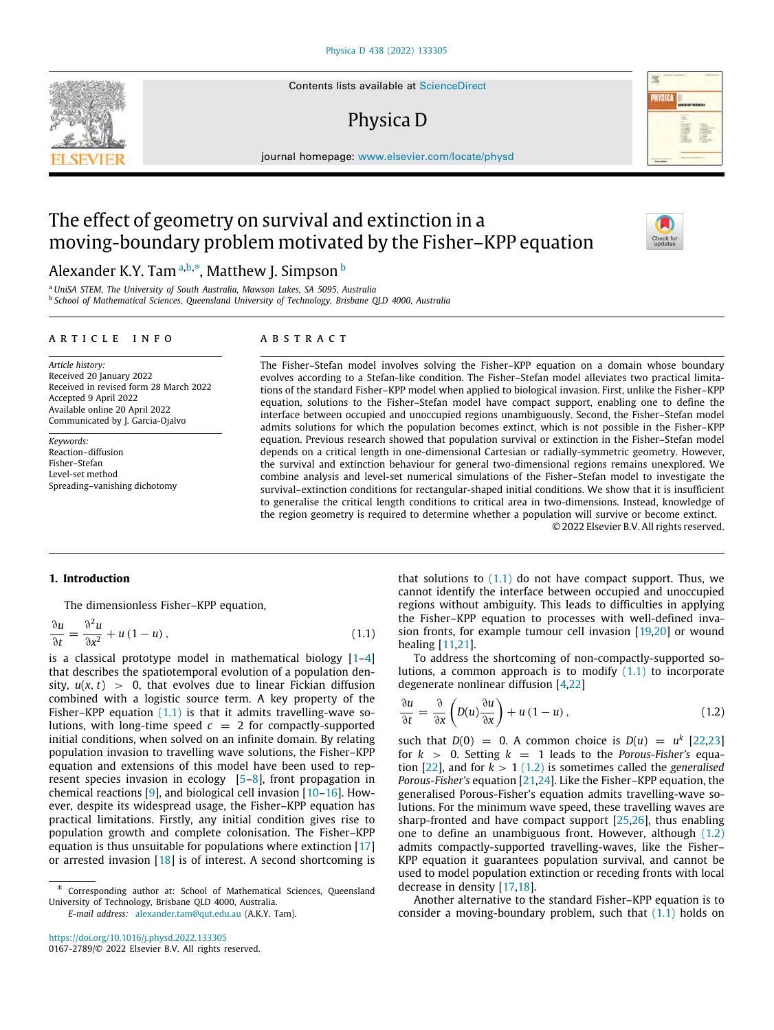Contents lists available at [ScienceDirect](http://www.elsevier.com/locate/physd)

# Physica D



journal homepage: [www.elsevier.com/locate/physd](http://www.elsevier.com/locate/physd)

# The effect of geometry on survival and extinction in a moving-boundary problem motivated by the Fisher–KPP equation

# Alex[a](#page-0-0)nder K.Y. Tam <sup>a,[b](#page-0-1),</sup>\*, Matthew J. Simpson <sup>b</sup>

<span id="page-0-1"></span><span id="page-0-0"></span><sup>a</sup> *UniSA STEM, The University of South Australia, Mawson Lakes, SA 5095, Australia* b *School of Mathematical Sciences, Queensland University of Technology, Brisbane QLD 4000, Australia*

# ARTICLE INFO

# a b s t r a c t

*Article history:* Received 20 January 2022 Received in revised form 28 March 2022 Accepted 9 April 2022 Available online 20 April 2022 Communicated by J. Garcia-Ojalvo

*Keywords:* Reaction–diffusion Fisher–Stefan Level-set method Spreading–vanishing dichotomy The Fisher–Stefan model involves solving the Fisher–KPP equation on a domain whose boundary evolves according to a Stefan-like condition. The Fisher–Stefan model alleviates two practical limitations of the standard Fisher–KPP model when applied to biological invasion. First, unlike the Fisher–KPP equation, solutions to the Fisher–Stefan model have compact support, enabling one to define the interface between occupied and unoccupied regions unambiguously. Second, the Fisher–Stefan model admits solutions for which the population becomes extinct, which is not possible in the Fisher–KPP equation. Previous research showed that population survival or extinction in the Fisher–Stefan model depends on a critical length in one-dimensional Cartesian or radially-symmetric geometry. However, the survival and extinction behaviour for general two-dimensional regions remains unexplored. We combine analysis and level-set numerical simulations of the Fisher–Stefan model to investigate the survival–extinction conditions for rectangular-shaped initial conditions. We show that it is insufficient to generalise the critical length conditions to critical area in two-dimensions. Instead, knowledge of the region geometry is required to determine whether a population will survive or become extinct. © 2022 Elsevier B.V. All rights reserved.

# **1. Introduction**

The dimensionless Fisher–KPP equation,

$$
\frac{\partial u}{\partial t} = \frac{\partial^2 u}{\partial x^2} + u (1 - u), \qquad (1.1)
$$

is a classical prototype model in mathematical biology  $[1-4]$  $[1-4]$  $[1-4]$ that describes the spatiotemporal evolution of a population density,  $u(x, t) > 0$ , that evolves due to linear Fickian diffusion combined with a logistic source term. A key property of the Fisher–KPP equation  $(1.1)$  is that it admits travelling-wave solutions, with long-time speed  $c = 2$  for compactly-supported initial conditions, when solved on an infinite domain. By relating population invasion to travelling wave solutions, the Fisher–KPP equation and extensions of this model have been used to represent species invasion in ecology [[5](#page-6-2)[–8](#page-6-3)], front propagation in chemical reactions [[9](#page-6-4)], and biological cell invasion [[10–](#page-6-5)[16\]](#page-6-6). However, despite its widespread usage, the Fisher–KPP equation has practical limitations. Firstly, any initial condition gives rise to population growth and complete colonisation. The Fisher–KPP equation is thus unsuitable for populations where extinction [\[17\]](#page-6-7) or arrested invasion [\[18\]](#page-6-8) is of interest. A second shortcoming is

that solutions to  $(1.1)$  do not have compact support. Thus, we cannot identify the interface between occupied and unoccupied regions without ambiguity. This leads to difficulties in applying the Fisher–KPP equation to processes with well-defined invasion fronts, for example tumour cell invasion [[19](#page-6-9)[,20](#page-6-10)] or wound healing [[11](#page-6-11)[,21\]](#page-6-12).

<span id="page-0-3"></span>To address the shortcoming of non-compactly-supported solutions, a common approach is to modify  $(1.1)$  to incorporate degenerate nonlinear diffusion [\[4,](#page-6-1)[22\]](#page-6-13)

<span id="page-0-4"></span>
$$
\frac{\partial u}{\partial t} = \frac{\partial}{\partial x} \left( D(u) \frac{\partial u}{\partial x} \right) + u (1 - u), \qquad (1.2)
$$

such that  $D(0) = 0$ . A common choice is  $D(u) = u^k$  [[22](#page-6-13)[,23\]](#page-6-14) for  $k > 0$ . Setting  $k = 1$  leads to the *Porous-Fisher's* equation  $[22]$  $[22]$  $[22]$ , and for  $k > 1$   $(1.2)$  is sometimes called the *generalised Porous-Fisher's* equation [[21](#page-6-12)[,24\]](#page-6-15). Like the Fisher–KPP equation, the generalised Porous-Fisher's equation admits travelling-wave solutions. For the minimum wave speed, these travelling waves are sharp-fronted and have compact support [[25](#page-6-16)[,26](#page-6-17)], thus enabling one to define an unambiguous front. However, although [\(1.2\)](#page-0-4) admits compactly-supported travelling-waves, like the Fisher– KPP equation it guarantees population survival, and cannot be used to model population extinction or receding fronts with local decrease in density [[17](#page-6-7)[,18](#page-6-8)].

Another alternative to the standard Fisher–KPP equation is to consider a moving-boundary problem, such that [\(1.1\)](#page-0-3) holds on

<span id="page-0-2"></span><sup>∗</sup> Corresponding author at: School of Mathematical Sciences, Queensland University of Technology, Brisbane QLD 4000, Australia.

*E-mail address:* [alexander.tam@qut.edu.au](mailto:alexander.tam@qut.edu.au) (A.K.Y. Tam).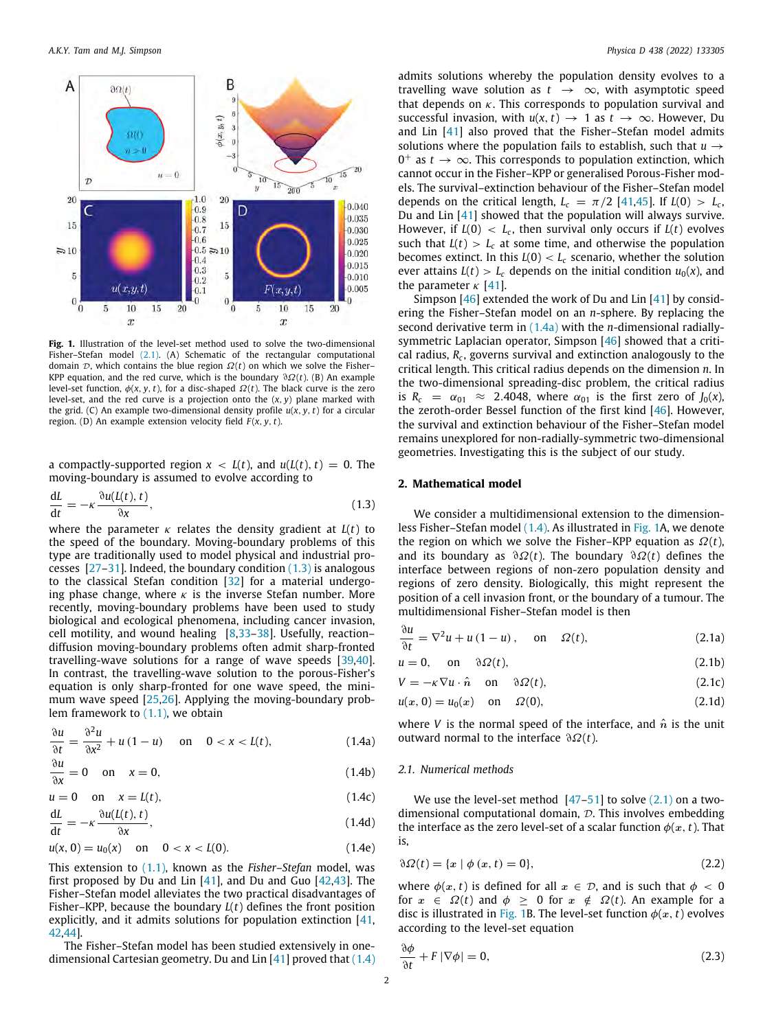

<span id="page-1-3"></span>**Fig. 1.** Illustration of the level-set method used to solve the two-dimensional Fisher–Stefan model [\(2.1\)](#page-1-0). (A) Schematic of the rectangular computational domain  $D$ , which contains the blue region  $\Omega(t)$  on which we solve the Fisher-KPP equation, and the red curve, which is the boundary ∂Ω(*t*). (B) An example level-set function,  $\phi(x, y, t)$ , for a disc-shaped  $\Omega(t)$ . The black curve is the zero level-set, and the red curve is a projection onto the (*x*, *y*) plane marked with the grid. (C) An example two-dimensional density profile  $u(x, y, t)$  for a circular region. (D) An example extension velocity field *F* (*x*, *y*, *t*).

a compactly-supported region  $x < L(t)$ , and  $u(L(t), t) = 0$ . The moving-boundary is assumed to evolve according to

$$
\frac{dL}{dt} = -\kappa \frac{\partial u(L(t), t)}{\partial x},\tag{1.3}
$$

where the parameter κ relates the density gradient at *L*(*t*) to the speed of the boundary. Moving-boundary problems of this type are traditionally used to model physical and industrial processes  $[27-31]$  $[27-31]$  $[27-31]$ . Indeed, the boundary condition  $(1.3)$  $(1.3)$  is analogous to the classical Stefan condition [\[32\]](#page-7-1) for a material undergoing phase change, where  $\kappa$  is the inverse Stefan number. More recently, moving-boundary problems have been used to study biological and ecological phenomena, including cancer invasion, cell motility, and wound healing [[8](#page-6-3)[,33](#page-7-2)–[38](#page-7-3)]. Usefully, reaction– diffusion moving-boundary problems often admit sharp-fronted travelling-wave solutions for a range of wave speeds [[39](#page-7-4)[,40\]](#page-7-5). In contrast, the travelling-wave solution to the porous-Fisher's equation is only sharp-fronted for one wave speed, the minimum wave speed [[25](#page-6-16)[,26](#page-6-17)]. Applying the moving-boundary problem framework to  $(1.1)$  $(1.1)$  $(1.1)$ , we obtain

$$
\frac{\partial u}{\partial t} = \frac{\partial^2 u}{\partial x^2} + u(1 - u) \quad \text{on} \quad 0 < x < L(t), \tag{1.4a}
$$

$$
\frac{\partial u}{\partial x} = 0 \quad \text{on} \quad x = 0,\tag{1.4b}
$$

$$
u = 0 \quad \text{on} \quad x = L(t), \tag{1.4c}
$$

$$
\frac{dL}{dt} = -\kappa \frac{\partial u(L(t), t)}{\partial x},\tag{1.4d}
$$

$$
u(x, 0) = u_0(x) \quad \text{on} \quad 0 < x < L(0). \tag{1.4e}
$$

This extension to ([1.1](#page-0-3)), known as the *Fisher–Stefan* model, was first proposed by Du and Lin  $[41]$ , and Du and Guo  $[42,43]$  $[42,43]$  $[42,43]$ . The Fisher–Stefan model alleviates the two practical disadvantages of Fisher–KPP, because the boundary *L*(*t*) defines the front position explicitly, and it admits solutions for population extinction [\[41,](#page-7-6) [42](#page-7-7)[,44\]](#page-7-9).

The Fisher–Stefan model has been studied extensively in onedimensional Cartesian geometry. Du and Lin  $[41]$  $[41]$  proved that  $(1.4)$  admits solutions whereby the population density evolves to a travelling wave solution as  $t \rightarrow \infty$ , with asymptotic speed that depends on  $\kappa$ . This corresponds to population survival and successful invasion, with  $u(x, t) \rightarrow 1$  as  $t \rightarrow \infty$ . However, Du and Lin [[41](#page-7-6)] also proved that the Fisher–Stefan model admits solutions where the population fails to establish, such that  $u \rightarrow$  $0^+$  as  $t \to \infty$ . This corresponds to population extinction, which cannot occur in the Fisher–KPP or generalised Porous-Fisher models. The survival–extinction behaviour of the Fisher–Stefan model depends on the critical length,  $L_c = \pi/2$  [\[41,](#page-7-6)[45](#page-7-10)]. If  $L(0) > L_c$ , Du and Lin [[41\]](#page-7-6) showed that the population will always survive. However, if  $L(0) < L_c$ , then survival only occurs if  $L(t)$  evolves such that  $L(t) > L_c$  at some time, and otherwise the population becomes extinct. In this  $L(0) < L_c$  scenario, whether the solution ever attains  $L(t) > L_c$  depends on the initial condition  $u_0(x)$ , and the parameter  $\kappa$  [[41](#page-7-6)].

Simpson [[46](#page-7-11)] extended the work of Du and Lin [[41\]](#page-7-6) by considering the Fisher–Stefan model on an *n*-sphere. By replacing the second derivative term in ([1.4a\)](#page-1-2) with the *n*-dimensional radiallysymmetric Laplacian operator, Simpson [\[46\]](#page-7-11) showed that a critical radius, *R<sup>c</sup>* , governs survival and extinction analogously to the critical length. This critical radius depends on the dimension *n*. In the two-dimensional spreading-disc problem, the critical radius is  $R_c = \alpha_{01} \approx 2.4048$ , where  $\alpha_{01}$  is the first zero of  $J_0(x)$ , the zeroth-order Bessel function of the first kind [[46](#page-7-11)]. However, the survival and extinction behaviour of the Fisher–Stefan model remains unexplored for non-radially-symmetric two-dimensional geometries. Investigating this is the subject of our study.

# **2. Mathematical model**

<span id="page-1-1"></span>We consider a multidimensional extension to the dimensionless Fisher–Stefan model [\(1.4](#page-1-2)). As illustrated in [Fig. 1A](#page-1-3), we denote the region on which we solve the Fisher–KPP equation as  $Ω(t)$ , and its boundary as ∂Ω(*t*). The boundary ∂Ω(*t*) defines the interface between regions of non-zero population density and regions of zero density. Biologically, this might represent the position of a cell invasion front, or the boundary of a tumour. The multidimensional Fisher–Stefan model is then

<span id="page-1-0"></span>
$$
\frac{\partial u}{\partial t} = \nabla^2 u + u (1 - u), \quad \text{on} \quad \Omega(t), \tag{2.1a}
$$

<span id="page-1-5"></span>
$$
u = 0, \quad \text{on} \quad \partial \Omega(t), \tag{2.1b}
$$

 $V = -\kappa \nabla u \cdot \hat{n}$  on  $\partial \Omega(t)$ , (2.1c)

$$
u(x, 0) = u_0(x) \quad \text{on} \quad \Omega(0), \tag{2.1d}
$$

<span id="page-1-2"></span>where *V* is the normal speed of the interface, and  $\hat{n}$  is the unit outward normal to the interface ∂Ω(*t*).

#### *2.1. Numerical methods*

<span id="page-1-4"></span>We use the level-set method  $[47-51]$  $[47-51]$  $[47-51]$  to solve  $(2.1)$  on a twodimensional computational domain,  $\mathcal{D}$ . This involves embedding the interface as the zero level-set of a scalar function  $\phi(x, t)$ . That is,

$$
\partial \Omega(t) = \{x \mid \phi(x, t) = 0\},\tag{2.2}
$$

where  $\phi(x, t)$  is defined for all  $x \in \mathcal{D}$ , and is such that  $\phi < 0$ for  $x \in \Omega(t)$  and  $\phi \geq 0$  for  $x \notin \Omega(t)$ . An example for a disc is illustrated in [Fig. 1](#page-1-3)B. The level-set function  $\phi(x, t)$  evolves according to the level-set equation

$$
\frac{\partial \phi}{\partial t} + F |\nabla \phi| = 0, \tag{2.3}
$$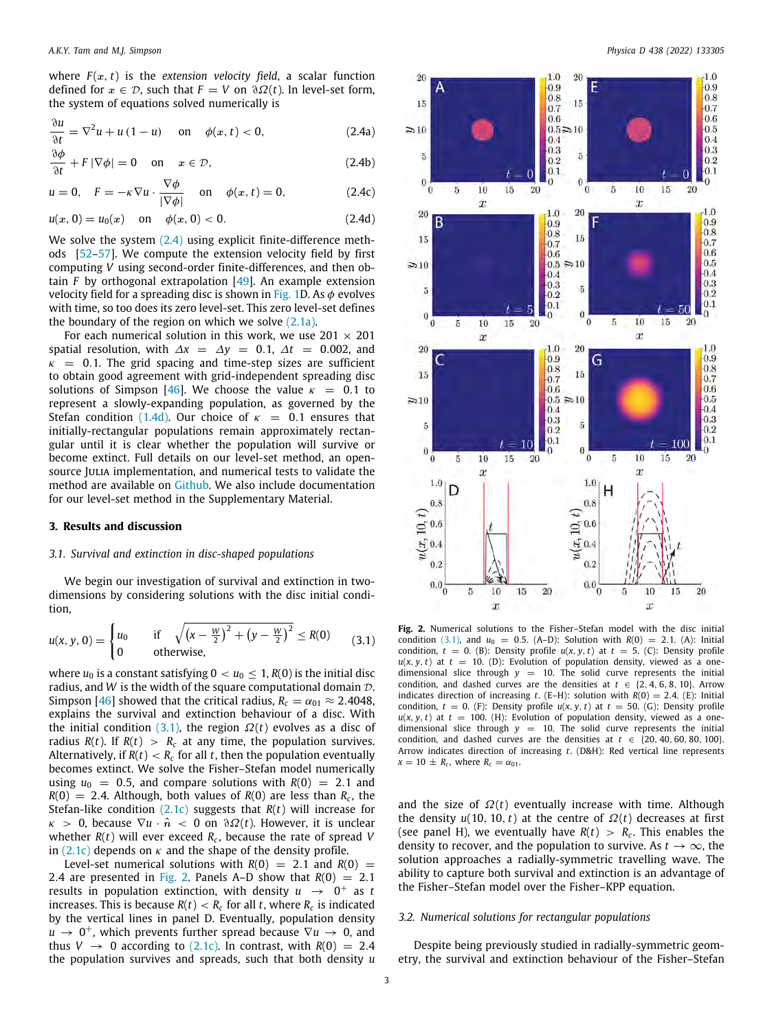where  $F(x, t)$  is the *extension velocity field*, a scalar function defined for  $x \in \mathcal{D}$ , such that  $F = V$  on  $\partial \Omega(t)$ . In level-set form, the system of equations solved numerically is

$$
\frac{\partial u}{\partial t} = \nabla^2 u + u (1 - u) \quad \text{on} \quad \phi(x, t) < 0,\tag{2.4a}
$$

$$
\frac{\partial \phi}{\partial t} + F |\nabla \phi| = 0 \quad \text{on} \quad x \in \mathcal{D}, \tag{2.4b}
$$

$$
u = 0, \quad F = -\kappa \nabla u \cdot \frac{\nabla \phi}{|\nabla \phi|} \quad \text{on} \quad \phi(x, t) = 0,
$$
 (2.4c)

$$
u(x, 0) = u_0(x) \quad \text{on} \quad \phi(x, 0) < 0. \tag{2.4d}
$$

We solve the system  $(2.4)$  using explicit finite-difference methods [\[52–](#page-7-14)[57](#page-7-15)]. We compute the extension velocity field by first computing *V* using second-order finite-differences, and then obtain *F* by orthogonal extrapolation [\[49\]](#page-7-16). An example extension velocity field for a spreading disc is shown in [Fig. 1D](#page-1-3). As  $\phi$  evolves with time, so too does its zero level-set. This zero level-set defines the boundary of the region on which we solve  $(2.1a)$  $(2.1a)$  $(2.1a)$ .

For each numerical solution in this work, we use  $201 \times 201$ spatial resolution, with  $\Delta x = \Delta y = 0.1$ ,  $\Delta t = 0.002$ , and  $\kappa$  = 0.1. The grid spacing and time-step sizes are sufficient to obtain good agreement with grid-independent spreading disc solutions of Simpson [\[46\]](#page-7-11). We choose the value  $\kappa = 0.1$  to represent a slowly-expanding population, as governed by the Stefan condition ([1.4d](#page-1-4)). Our choice of  $\kappa = 0.1$  ensures that initially-rectangular populations remain approximately rectangular until it is clear whether the population will survive or become extinct. Full details on our level-set method, an opensource JULIA implementation, and numerical tests to validate the method are available on [Github.](https://github.com/alex-tam/2D_Fisher-Stefan_Level-Set) We also include documentation for our level-set method in the Supplementary Material.

#### **3. Results and discussion**

#### *3.1. Survival and extinction in disc-shaped populations*

We begin our investigation of survival and extinction in twodimensions by considering solutions with the disc initial condition,

$$
u(x, y, 0) = \begin{cases} u_0 & \text{if } \sqrt{(x - \frac{w}{2})^2 + (y - \frac{w}{2})^2} \le R(0) \\ 0 & \text{otherwise,} \end{cases}
$$
(3.1)

where  $u_0$  is a constant satisfying  $0 < u_0 \leq 1$ ,  $R(0)$  is the initial disc radius, and *W* is the width of the square computational domain D. Simpson [\[46\]](#page-7-11) showed that the critical radius,  $R_c = \alpha_{01} \approx 2.4048$ , explains the survival and extinction behaviour of a disc. With the initial condition  $(3.1)$ , the region  $\Omega(t)$  evolves as a disc of radius  $R(t)$ . If  $R(t) > R_c$  at any time, the population survives. Alternatively, if  $R(t) < R_c$  for all  $t$ , then the population eventually becomes extinct. We solve the Fisher–Stefan model numerically using  $u_0 = 0.5$ , and compare solutions with  $R(0) = 2.1$  and  $R(0) = 2.4$ . Although, both values of  $R(0)$  are less than  $R_c$ , the Stefan-like condition [\(2.1c\)](#page-1-5) suggests that *R*(*t*) will increase for  $\kappa > 0$ , because  $\nabla u \cdot \hat{n} < 0$  on  $\partial \Omega(t)$ . However, it is unclear whether *R*(*t*) will ever exceed *R<sup>c</sup>* , because the rate of spread *V* in ([2.1c](#page-1-5)) depends on  $\kappa$  and the shape of the density profile.

Level-set numerical solutions with  $R(0) = 2.1$  and  $R(0) = 1$ 2.4 are presented in [Fig. 2.](#page-2-2) Panels A–D show that  $R(0) = 2.1$ results in population extinction, with density  $u \rightarrow 0^+$  as t increases. This is because *R*(*t*) < *R<sup>c</sup>* for all *t*, where *R<sup>c</sup>* is indicated by the vertical lines in panel D. Eventually, population density  $u \rightarrow 0^+$ , which prevents further spread because  $\nabla u \rightarrow 0$ , and thus  $V \rightarrow 0$  according to [\(2.1c\)](#page-1-5). In contrast, with  $R(0) = 2.4$ the population survives and spreads, such that both density *u*

<span id="page-2-0"></span>

<span id="page-2-2"></span><span id="page-2-1"></span>**Fig. 2.** Numerical solutions to the Fisher–Stefan model with the disc initial condition [\(3.1](#page-2-1)), and  $u_0 = 0.5$ . (A-D): Solution with  $R(0) = 2.1$ . (A): Initial condition,  $t = 0$ . (B): Density profile  $u(x, y, t)$  at  $t = 5$ . (C): Density profile  $u(x, y, t)$  at  $t = 10$ . (D): Evolution of population density, viewed as a onedimensional slice through  $y = 10$ . The solid curve represents the initial condition, and dashed curves are the densities at  $t \in \{2, 4, 6, 8, 10\}$ . Arrow indicates direction of increasing  $t$ . (E-H): solution with  $R(0) = 2.4$ . (E): Initial condition,  $t = 0$ . (F): Density profile  $u(x, y, t)$  at  $t = 50$ . (G): Density profile  $u(x, y, t)$  at  $t = 100$ . (H): Evolution of population density, viewed as a onedimensional slice through  $y = 10$ . The solid curve represents the initial condition, and dashed curves are the densities at  $t \in \{20, 40, 60, 80, 100\}$ . Arrow indicates direction of increasing *t*. (D&H): Red vertical line represents  $x = 10 \pm R_c$ , where  $R_c = \alpha_{01}$ .

and the size of  $\Omega(t)$  eventually increase with time. Although the density  $u(10, 10, t)$  at the centre of  $\Omega(t)$  decreases at first (see panel H), we eventually have  $R(t) > R_c$ . This enables the density to recover, and the population to survive. As  $t \to \infty$ , the solution approaches a radially-symmetric travelling wave. The ability to capture both survival and extinction is an advantage of the Fisher–Stefan model over the Fisher–KPP equation.

#### *3.2. Numerical solutions for rectangular populations*

Despite being previously studied in radially-symmetric geometry, the survival and extinction behaviour of the Fisher–Stefan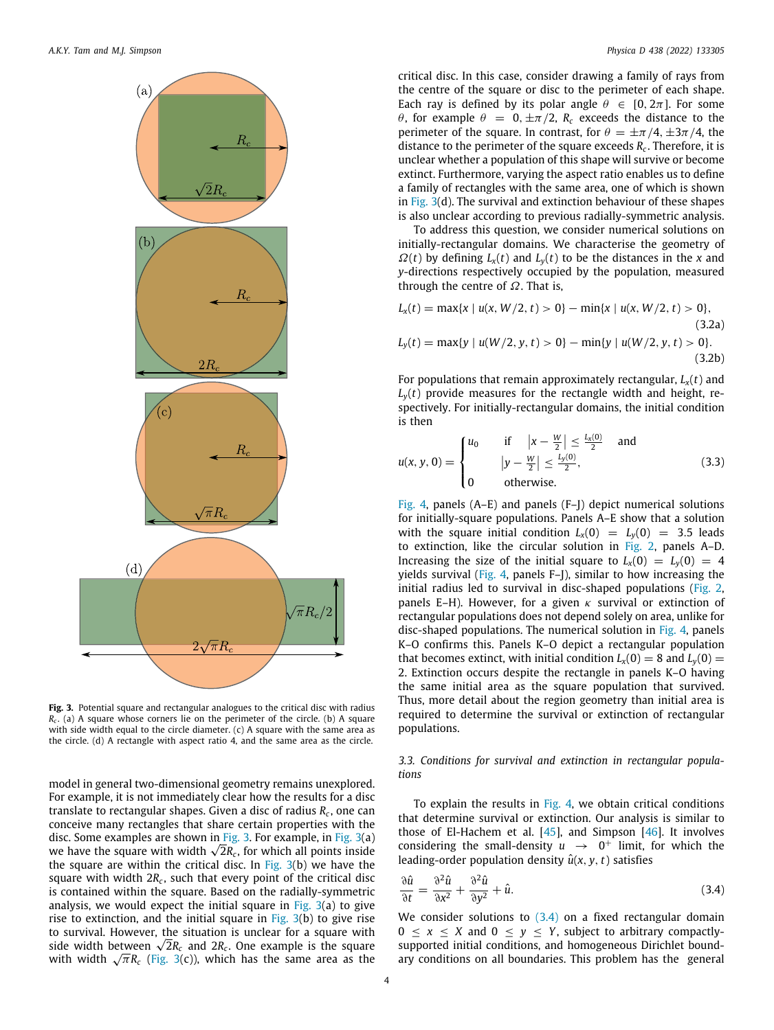

<span id="page-3-0"></span>**Fig. 3.** Potential square and rectangular analogues to the critical disc with radius *Rc* . (a) A square whose corners lie on the perimeter of the circle. (b) A square with side width equal to the circle diameter. (c) A square with the same area as the circle. (d) A rectangle with aspect ratio 4, and the same area as the circle.

model in general two-dimensional geometry remains unexplored. For example, it is not immediately clear how the results for a disc translate to rectangular shapes. Given a disc of radius *R<sup>c</sup>* , one can conceive many rectangles that share certain properties with the disc. Some examples are shown in [Fig. 3.](#page-3-0) For example, in [Fig. 3](#page-3-0)(a) disc. Some examples are shown in Fig. 3. For example, in Fig. 3(a)<br>we have the square with width √2R<sub>c</sub>, for which all points inside the square are within the critical disc. In Fig.  $3(b)$  we have the square with width 2 $R_c$ , such that every point of the critical disc is contained within the square. Based on the radially-symmetric analysis, we would expect the initial square in Fig.  $3(a)$  to give rise to extinction, and the initial square in Fig.  $3(b)$  to give rise to survival. However, the situation is unclear for a square with to survival. However, the situation is unclear for a square with side widh between  $\sqrt{2}R_c$  and  $2R_c$ . One example is the square side width between  $\sqrt{2}R_c$  and  $2R_c$ . One example is the square with width  $\sqrt{\pi}R_c$  [\(Fig. 3\(](#page-3-0)c)), which has the same area as the

critical disc. In this case, consider drawing a family of rays from the centre of the square or disc to the perimeter of each shape. Each ray is defined by its polar angle  $\theta \in [0, 2\pi]$ . For some θ, for example  $θ = 0, ±π/2, R<sub>c</sub>$  exceeds the distance to the perimeter of the square. In contrast, for  $\theta = \pm \pi/4, \pm 3\pi/4$ , the distance to the perimeter of the square exceeds *R<sup>c</sup>* . Therefore, it is unclear whether a population of this shape will survive or become extinct. Furthermore, varying the aspect ratio enables us to define a family of rectangles with the same area, one of which is shown in [Fig. 3\(](#page-3-0)d). The survival and extinction behaviour of these shapes is also unclear according to previous radially-symmetric analysis.

To address this question, we consider numerical solutions on initially-rectangular domains. We characterise the geometry of  $\Omega(t)$  by defining  $L_x(t)$  and  $L_y(t)$  to be the distances in the *x* and *y*-directions respectively occupied by the population, measured through the centre of  $\Omega$ . That is,

$$
L_x(t) = \max\{x \mid u(x, W/2, t) > 0\} - \min\{x \mid u(x, W/2, t) > 0\},\tag{3.2a}
$$

$$
L_y(t) = \max\{y \mid u(W/2, y, t) > 0\} - \min\{y \mid u(W/2, y, t) > 0\}.
$$
\n(3.2b)

For populations that remain approximately rectangular,  $L_x(t)$  and  $L<sub>v</sub>(t)$  provide measures for the rectangle width and height, respectively. For initially-rectangular domains, the initial condition is then

<span id="page-3-2"></span>
$$
u(x, y, 0) = \begin{cases} u_0 & \text{if } |x - \frac{w}{2}| \le \frac{L_x(0)}{2} \\ y - \frac{w}{2}| \le \frac{L_y(0)}{2}, \\ 0 & \text{otherwise.} \end{cases}
$$
 (3.3)

[Fig. 4](#page-4-0), panels (A–E) and panels (F–J) depict numerical solutions for initially-square populations. Panels A–E show that a solution with the square initial condition  $L_x(0) = L_y(0) = 3.5$  leads to extinction, like the circular solution in [Fig. 2,](#page-2-2) panels A–D. Increasing the size of the initial square to  $L_x(0) = L_y(0) = 4$ yields survival ([Fig. 4,](#page-4-0) panels F–J), similar to how increasing the initial radius led to survival in disc-shaped populations [\(Fig. 2,](#page-2-2) panels E–H). However, for a given  $\kappa$  survival or extinction of rectangular populations does not depend solely on area, unlike for disc-shaped populations. The numerical solution in [Fig. 4](#page-4-0), panels K–O confirms this. Panels K–O depict a rectangular population that becomes extinct, with initial condition  $L_x(0) = 8$  and  $L_y(0) =$ 2. Extinction occurs despite the rectangle in panels K–O having the same initial area as the square population that survived. Thus, more detail about the region geometry than initial area is required to determine the survival or extinction of rectangular populations.

*3.3. Conditions for survival and extinction in rectangular populations*

To explain the results in [Fig. 4](#page-4-0), we obtain critical conditions that determine survival or extinction. Our analysis is similar to those of El-Hachem et al.  $[45]$  $[45]$  $[45]$ , and Simpson  $[46]$  $[46]$  $[46]$ . It involves considering the small-density  $u \rightarrow 0^+$  limit, for which the leading-order population density  $\hat{u}(x, y, t)$  satisfies

<span id="page-3-1"></span>
$$
\frac{\partial \hat{u}}{\partial t} = \frac{\partial^2 \hat{u}}{\partial x^2} + \frac{\partial^2 \hat{u}}{\partial y^2} + \hat{u}.
$$
 (3.4)

We consider solutions to  $(3.4)$  on a fixed rectangular domain  $0 \le x \le X$  and  $0 \le y \le Y$ , subject to arbitrary compactlysupported initial conditions, and homogeneous Dirichlet boundary conditions on all boundaries. This problem has the general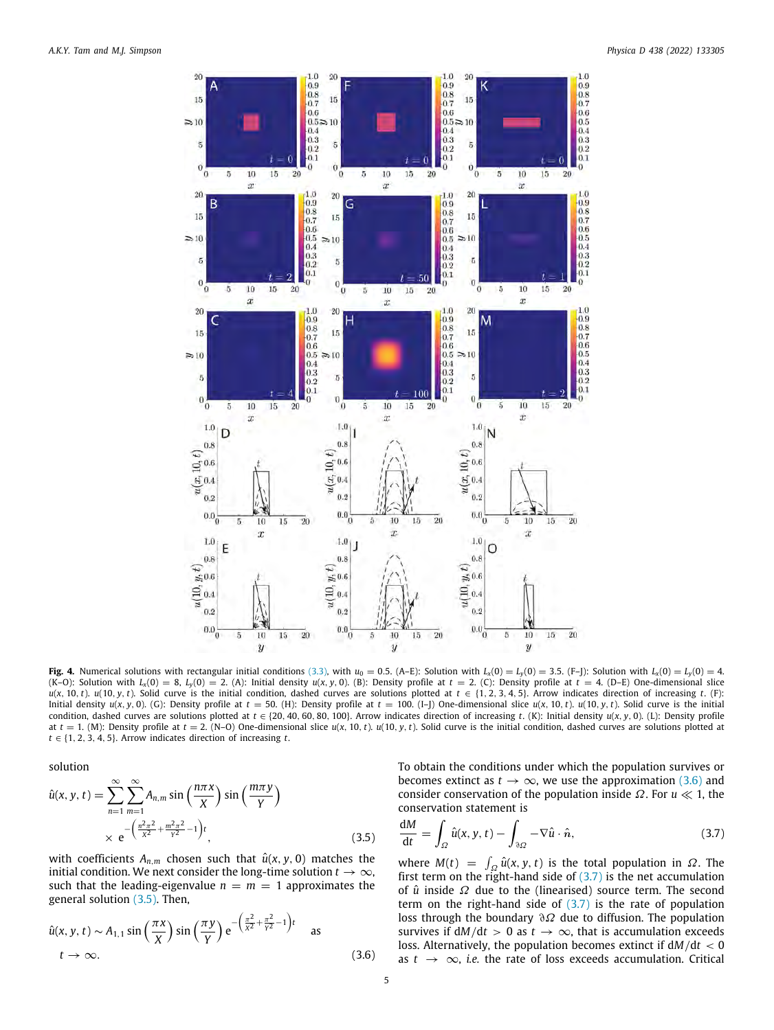

<span id="page-4-0"></span>Fig. 4. Numerical solutions with rectangular initial conditions ([3.3](#page-3-2)), with  $u_0 = 0.5$ . (A-E): Solution with  $L_x(0) = L_y(0) = 3.5$ . (F-J): Solution with  $L_x(0) = L_y(0) = 4$ . (K-O): Solution with  $L_x(0) = 8$ ,  $L_y(0) = 2$ . (A): Initial density  $u(x, y, 0)$ . (B): Density profile at  $t = 2$ . (C): Density profile at  $t = 4$ . (D-E) One-dimensional slice  $u(x, 10, t)$ .  $u(10, y, t)$ . Solid curve is the initial condition, dashed curves are solutions plotted at  $t \in \{1, 2, 3, 4, 5\}$ . Arrow indicates direction of increasing t. (F): Initial density  $u(x, y, 0)$ . (G): Density profile at  $t = 50$ . (H): Density profile at  $t = 100$ . (I-J) One-dimensional slice  $u(x, 10, t)$ .  $u(10, y, t)$ . Solid curve is the initial condition, dashed curves are solutions plotted at  $t \in \{20, 40, 60, 80, 100\}$ . Arrow indicates direction of increasing *t*. (K): Initial density  $u(x, y, 0)$ . (L): Density profile at  $t = 1$ . (M): Density profile at  $t = 2$ . (N-O) One-dimensional slice  $u(x, 10, t)$ .  $u(10, y, t)$ . Solid curve is the initial condition, dashed curves are solutions plotted at  $t \in \{1, 2, 3, 4, 5\}$ . Arrow indicates direction of increasing *t*.

solution

$$
\hat{u}(x, y, t) = \sum_{n=1}^{\infty} \sum_{m=1}^{\infty} A_{n,m} \sin\left(\frac{n\pi x}{X}\right) \sin\left(\frac{m\pi y}{Y}\right)
$$

$$
\times e^{-\left(\frac{n^2\pi^2}{X^2} + \frac{m^2\pi^2}{Y^2} - 1\right)t},
$$
\n(3.5)

with coefficients  $A_{n,m}$  chosen such that  $\hat{u}(x, y, 0)$  matches the initial condition. We next consider the long-time solution  $t \to \infty$ , such that the leading-eigenvalue  $n = m = 1$  approximates the general solution ([3.5](#page-4-1)). Then,

$$
\hat{u}(x, y, t) \sim A_{1,1} \sin\left(\frac{\pi x}{X}\right) \sin\left(\frac{\pi y}{Y}\right) e^{-\left(\frac{\pi^2}{X^2} + \frac{\pi^2}{Y^2} - 1\right)t} \quad \text{as}
$$
\n
$$
t \to \infty. \tag{3.6}
$$

To obtain the conditions under which the population survives or becomes extinct as  $t \to \infty$ , we use the approximation ([3.6](#page-4-2)) and consider conservation of the population inside Ω. For *u* ≪ 1, the conservation statement is

<span id="page-4-3"></span><span id="page-4-1"></span>
$$
\frac{dM}{dt} = \int_{\Omega} \hat{u}(x, y, t) - \int_{\partial\Omega} -\nabla \hat{u} \cdot \hat{n}, \qquad (3.7)
$$

<span id="page-4-2"></span>where  $M(t) = \int_{\Omega} \hat{u}(x, y, t)$  is the total population in  $\Omega$ . The first term on the right-hand side of  $(3.7)$  is the net accumulation of *û* inside Ω due to the (linearised) source term. The second term on the right-hand side of [\(3.7\)](#page-4-3) is the rate of population loss through the boundary ∂Ω due to diffusion. The population survives if  $dM/dt > 0$  as  $t \to \infty$ , that is accumulation exceeds loss. Alternatively, the population becomes extinct if d*M*/d*t* < 0 as *t* → ∞, *i.e.* the rate of loss exceeds accumulation. Critical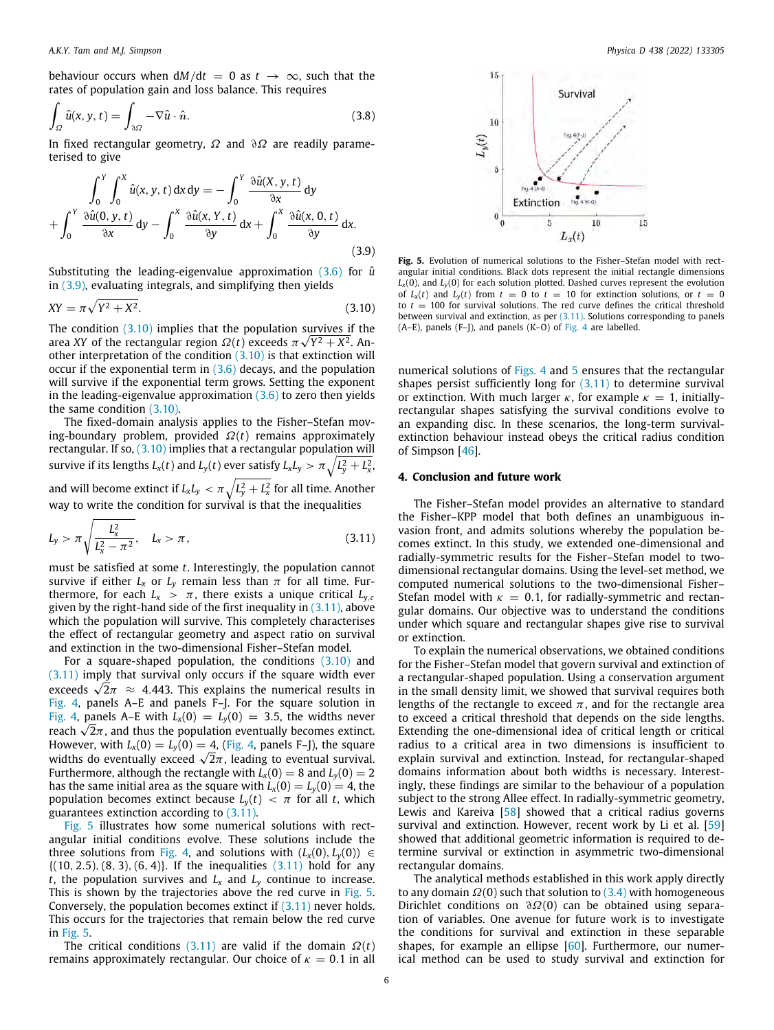behaviour occurs when  $dM/dt = 0$  as  $t \to \infty$ , such that the rates of population gain and loss balance. This requires

$$
\int_{\Omega} \hat{u}(x, y, t) = \int_{\partial \Omega} -\nabla \hat{u} \cdot \hat{n}.
$$
\n(3.8)

In fixed rectangular geometry,  $\Omega$  and  $\partial\Omega$  are readily parameterised to give

$$
\int_0^Y \int_0^x \hat{u}(x, y, t) dx dy = -\int_0^Y \frac{\partial \hat{u}(X, y, t)}{\partial x} dy
$$

$$
+\int_0^Y \frac{\partial \hat{u}(0, y, t)}{\partial x} dy - \int_0^X \frac{\partial \hat{u}(x, Y, t)}{\partial y} dx + \int_0^X \frac{\partial \hat{u}(x, 0, t)}{\partial y} dx.
$$
(3.9)

Substituting the leading-eigenvalue approximation ([3.6](#page-4-2)) for  $\hat{u}$ in ([3.9\)](#page-5-0), evaluating integrals, and simplifying then yields

$$
XY = \pi \sqrt{Y^2 + X^2}.\tag{3.10}
$$

The condition  $(3.10)$  $(3.10)$  implies that the population survives if the area *XY* of the rectangular region  $\Omega(t)$  exceeds  $\pi\sqrt{Y^2+X^2}$ . Another interpretation of the condition  $(3.10)$  $(3.10)$  is that extinction will occur if the exponential term in [\(3.6\)](#page-4-2) decays, and the population will survive if the exponential term grows. Setting the exponent in the leading-eigenvalue approximation  $(3.6)$  $(3.6)$  $(3.6)$  to zero then yields the same condition ([3.10](#page-5-1)).

The fixed-domain analysis applies to the Fisher–Stefan moving-boundary problem, provided Ω(*t*) remains approximately rectangular. If so, [\(3.10\)](#page-5-1) implies that a rectangular population will survive if its lengths  $L_x(t)$  and  $L_y(t)$  ever satisfy  $L_x L_y > \pi \sqrt{L_y^2 + L_x^2}$  , and will become extinct if  $L_{\rm x}L_{\rm y} < \pi\sqrt{L_{\rm y}^2 + L_{\rm x}^2}$  for all time. Another way to write the condition for survival is that the inequalities

$$
L_{y} > \pi \sqrt{\frac{L_{x}^{2}}{L_{x}^{2} - \pi^{2}}}, \quad L_{x} > \pi, \tag{3.11}
$$

must be satisfied at some *t*. Interestingly, the population cannot survive if either  $L_x$  or  $L_y$  remain less than  $\pi$  for all time. Furthermore, for each  $L_x > \pi$ , there exists a unique critical  $L_{v,c}$ given by the right-hand side of the first inequality in  $(3.11)$  $(3.11)$ , above which the population will survive. This completely characterises the effect of rectangular geometry and aspect ratio on survival and extinction in the two-dimensional Fisher–Stefan model.

For a square-shaped population, the conditions  $(3.10)$  and ([3.11](#page-5-2)) imply that survival only occurs if the square width ever  $(3.11)$  imply that survival only occurs if the square width ever<br>exceeds  $\sqrt{2}\pi~\approx~$  4.443. This explains the numerical results in [Fig. 4](#page-4-0), panels A–E and panels F–J. For the square solution in [Fig. 4](#page-4-0), panels A–E with  $L_x(0) = L_y(0) = 3.5$ , the widths never Fig. 4, panels A–E with  $L_x(0) = L_y(0) = 3.5$ , the widths never reach  $\sqrt{2\pi}$ , and thus the population eventually becomes extinct. However, with  $L_x(0) = L_y(0) = 4$ , [\(Fig. 4](#page-4-0), panels F–J), the square However, with  $L_x(0) = L_y(0) = 4$ , (Fig. 4, paneis F–J), the square<br>widths do eventually exceed  $\sqrt{2}\pi$ , leading to eventual survival. Furthermore, although the rectangle with  $L_x(0) = 8$  and  $L_y(0) = 2$ has the same initial area as the square with  $L_x(0) = L_y(0) = 4$ , the population becomes extinct because  $L_v(t) < \pi$  for all *t*, which guarantees extinction according to ([3.11\)](#page-5-2).

[Fig. 5](#page-5-3) illustrates how some numerical solutions with rectangular initial conditions evolve. These solutions include the three solutions from [Fig. 4](#page-4-0), and solutions with  $(L_x(0), L_y(0)) \in$  $\{(10, 2.5), (8, 3), (6, 4)\}.$  If the inequalities  $(3.11)$  hold for any *t*, the population survives and  $L_x$  and  $L_y$  continue to increase. This is shown by the trajectories above the red curve in [Fig. 5.](#page-5-3) Conversely, the population becomes extinct if  $(3.11)$  $(3.11)$  $(3.11)$  never holds. This occurs for the trajectories that remain below the red curve in [Fig. 5.](#page-5-3)

The critical conditions [\(3.11\)](#page-5-2) are valid if the domain  $\Omega(t)$ remains approximately rectangular. Our choice of  $\kappa = 0.1$  in all



<span id="page-5-3"></span><span id="page-5-1"></span><span id="page-5-0"></span>**Fig. 5.** Evolution of numerical solutions to the Fisher–Stefan model with rectangular initial conditions. Black dots represent the initial rectangle dimensions  $L_{\text{x}}(0)$ , and  $L_{\text{y}}(0)$  for each solution plotted. Dashed curves represent the evolution of  $L_x(t)$  and  $L_y(t)$  from  $t = 0$  to  $t = 10$  for extinction solutions, or  $t = 0$ to  $t = 100$  for survival solutions. The red curve defines the critical threshold between survival and extinction, as per  $(3.11)$  $(3.11)$ . Solutions corresponding to panels (A–E), panels (F–J), and panels (K–O) of [Fig. 4](#page-4-0) are labelled.

numerical solutions of [Figs. 4](#page-4-0) and [5](#page-5-3) ensures that the rectangular shapes persist sufficiently long for  $(3.11)$  $(3.11)$  to determine survival or extinction. With much larger  $\kappa$ , for example  $\kappa = 1$ , initiallyrectangular shapes satisfying the survival conditions evolve to an expanding disc. In these scenarios, the long-term survivalextinction behaviour instead obeys the critical radius condition of Simpson [\[46](#page-7-11)].

#### **4. Conclusion and future work**

<span id="page-5-2"></span>The Fisher–Stefan model provides an alternative to standard the Fisher–KPP model that both defines an unambiguous invasion front, and admits solutions whereby the population becomes extinct. In this study, we extended one-dimensional and radially-symmetric results for the Fisher–Stefan model to twodimensional rectangular domains. Using the level-set method, we computed numerical solutions to the two-dimensional Fisher– Stefan model with  $\kappa = 0.1$ , for radially-symmetric and rectangular domains. Our objective was to understand the conditions under which square and rectangular shapes give rise to survival or extinction.

To explain the numerical observations, we obtained conditions for the Fisher–Stefan model that govern survival and extinction of a rectangular-shaped population. Using a conservation argument in the small density limit, we showed that survival requires both lengths of the rectangle to exceed  $\pi$ , and for the rectangle area to exceed a critical threshold that depends on the side lengths. Extending the one-dimensional idea of critical length or critical radius to a critical area in two dimensions is insufficient to explain survival and extinction. Instead, for rectangular-shaped domains information about both widths is necessary. Interestingly, these findings are similar to the behaviour of a population subject to the strong Allee effect. In radially-symmetric geometry, Lewis and Kareiva [\[58\]](#page-7-17) showed that a critical radius governs survival and extinction. However, recent work by Li et al. [\[59\]](#page-7-18) showed that additional geometric information is required to determine survival or extinction in asymmetric two-dimensional rectangular domains.

The analytical methods established in this work apply directly to any domain  $\Omega(0)$  such that solution to  $(3.4)$  $(3.4)$  $(3.4)$  with homogeneous Dirichlet conditions on  $\partial \Omega(0)$  can be obtained using separation of variables. One avenue for future work is to investigate the conditions for survival and extinction in these separable shapes, for example an ellipse [\[60\]](#page-7-19). Furthermore, our numerical method can be used to study survival and extinction for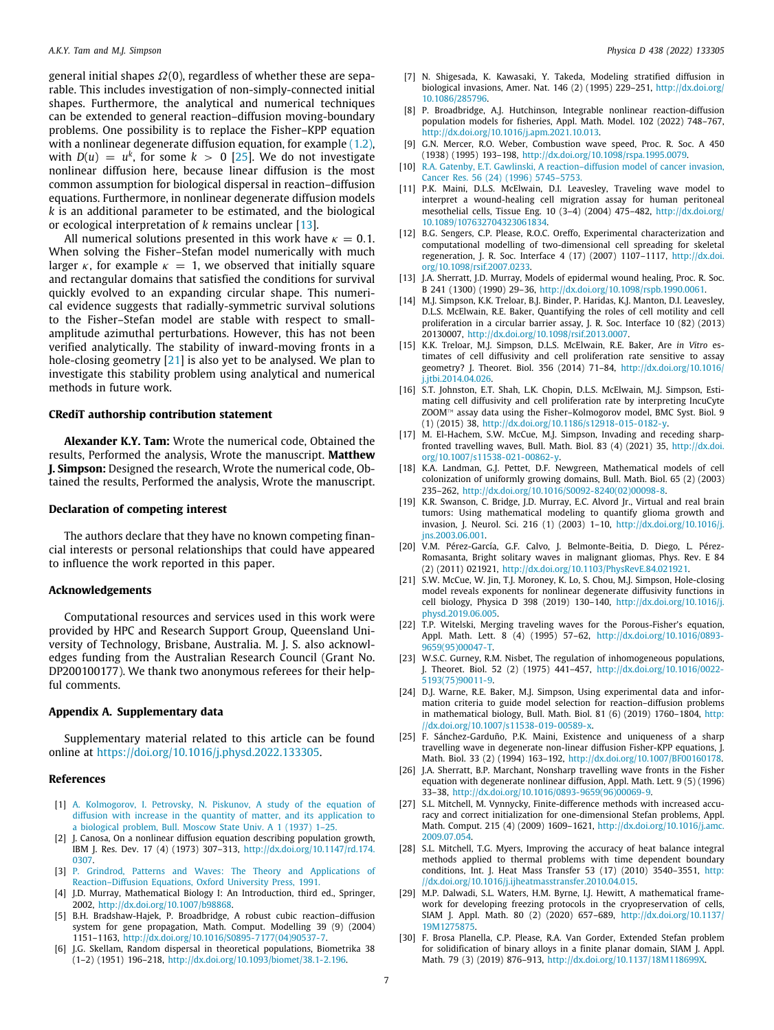general initial shapes Ω(0), regardless of whether these are separable. This includes investigation of non-simply-connected initial shapes. Furthermore, the analytical and numerical techniques can be extended to general reaction–diffusion moving-boundary problems. One possibility is to replace the Fisher–KPP equation with a nonlinear degenerate diffusion equation, for example [\(1.2\)](#page-0-4), with  $D(u) = u^k$ , for some  $k > 0$  [\[25\]](#page-6-16). We do not investigate nonlinear diffusion here, because linear diffusion is the most common assumption for biological dispersal in reaction–diffusion equations. Furthermore, in nonlinear degenerate diffusion models *k* is an additional parameter to be estimated, and the biological or ecological interpretation of *k* remains unclear [[13\]](#page-6-19).

All numerical solutions presented in this work have  $\kappa = 0.1$ . When solving the Fisher–Stefan model numerically with much larger  $\kappa$ , for example  $\kappa = 1$ , we observed that initially square and rectangular domains that satisfied the conditions for survival quickly evolved to an expanding circular shape. This numerical evidence suggests that radially-symmetric survival solutions to the Fisher–Stefan model are stable with respect to smallamplitude azimuthal perturbations. However, this has not been verified analytically. The stability of inward-moving fronts in a hole-closing geometry [\[21\]](#page-6-12) is also yet to be analysed. We plan to investigate this stability problem using analytical and numerical methods in future work.

#### **CRediT authorship contribution statement**

**Alexander K.Y. Tam:** Wrote the numerical code, Obtained the results, Performed the analysis, Wrote the manuscript. **Matthew J. Simpson:** Designed the research, Wrote the numerical code, Obtained the results, Performed the analysis, Wrote the manuscript.

# **Declaration of competing interest**

The authors declare that they have no known competing financial interests or personal relationships that could have appeared to influence the work reported in this paper.

### **Acknowledgements**

Computational resources and services used in this work were provided by HPC and Research Support Group, Queensland University of Technology, Brisbane, Australia. M. J. S. also acknowledges funding from the Australian Research Council (Grant No. DP200100177). We thank two anonymous referees for their helpful comments.

#### **Appendix A. Supplementary data**

Supplementary material related to this article can be found online at [https://doi.org/10.1016/j.physd.2022.133305.](https://doi.org/10.1016/j.physd.2022.133305)

#### **References**

- <span id="page-6-0"></span>[1] [A. Kolmogorov, I. Petrovsky, N. Piskunov, A study of the equation of](http://refhub.elsevier.com/S0167-2789(22)00089-6/sb1) [diffusion with increase in the quantity of matter, and its application to](http://refhub.elsevier.com/S0167-2789(22)00089-6/sb1) [a biological problem, Bull. Moscow State Univ. A 1 \(1937\) 1–25.](http://refhub.elsevier.com/S0167-2789(22)00089-6/sb1)
- [2] J. Canosa, On a nonlinear diffusion equation describing population growth, IBM J. Res. Dev. 17 (4) (1973) 307–313, [http://dx.doi.org/10.1147/rd.174.](http://dx.doi.org/10.1147/rd.174.0307) [0307](http://dx.doi.org/10.1147/rd.174.0307).
- [3] [P. Grindrod, Patterns and Waves: The Theory and Applications of](http://refhub.elsevier.com/S0167-2789(22)00089-6/sb3) [Reaction–Diffusion Equations, Oxford University Press, 1991.](http://refhub.elsevier.com/S0167-2789(22)00089-6/sb3)
- <span id="page-6-1"></span>[4] J.D. Murray, Mathematical Biology I: An Introduction, third ed., Springer, 2002, <http://dx.doi.org/10.1007/b98868>.
- <span id="page-6-2"></span>[5] B.H. Bradshaw-Hajek, P. Broadbridge, A robust cubic reaction–diffusion system for gene propagation, Math. Comput. Modelling 39 (9) (2004) 1151–1163, [http://dx.doi.org/10.1016/S0895-7177\(04\)90537-7.](http://dx.doi.org/10.1016/S0895-7177(04)90537-7)
- [6] J.G. Skellam, Random dispersal in theoretical populations, Biometrika 38 (1–2) (1951) 196–218, <http://dx.doi.org/10.1093/biomet/38.1-2.196>.
- [7] N. Shigesada, K. Kawasaki, Y. Takeda, Modeling stratified diffusion in biological invasions, Amer. Nat. 146 (2) (1995) 229–251, [http://dx.doi.org/](http://dx.doi.org/10.1086/285796) [10.1086/285796.](http://dx.doi.org/10.1086/285796)
- <span id="page-6-3"></span>[8] P. Broadbridge, A.J. Hutchinson, Integrable nonlinear reaction-diffusion population models for fisheries, Appl. Math. Model. 102 (2022) 748–767, [http://dx.doi.org/10.1016/j.apm.2021.10.013.](http://dx.doi.org/10.1016/j.apm.2021.10.013)
- <span id="page-6-4"></span>[9] G.N. Mercer, R.O. Weber, Combustion wave speed, Proc. R. Soc. A 450 (1938) (1995) 193–198, [http://dx.doi.org/10.1098/rspa.1995.0079.](http://dx.doi.org/10.1098/rspa.1995.0079)
- <span id="page-6-5"></span>[10] R.A. Gatenby, E.T. Gawlinski, A reaction-diffusion model of cancer invasion, [Cancer Res. 56 \(24\) \(1996\) 5745–5753.](http://refhub.elsevier.com/S0167-2789(22)00089-6/sb10)
- <span id="page-6-11"></span>[11] P.K. Maini, D.L.S. McElwain, D.I. Leavesley, Traveling wave model to interpret a wound-healing cell migration assay for human peritoneal mesothelial cells, Tissue Eng. 10 (3–4) (2004) 475–482, [http://dx.doi.org/](http://dx.doi.org/10.1089/107632704323061834) [10.1089/107632704323061834.](http://dx.doi.org/10.1089/107632704323061834)
- [12] B.G. Sengers, C.P. Please, R.O.C. Oreffo, Experimental characterization and computational modelling of two-dimensional cell spreading for skeletal regeneration, J. R. Soc. Interface 4 (17) (2007) 1107–1117, [http://dx.doi.](http://dx.doi.org/10.1098/rsif.2007.0233) [org/10.1098/rsif.2007.0233.](http://dx.doi.org/10.1098/rsif.2007.0233)
- <span id="page-6-19"></span>[13] J.A. Sherratt, J.D. Murray, Models of epidermal wound healing, Proc. R. Soc. B 241 (1300) (1990) 29–36, <http://dx.doi.org/10.1098/rspb.1990.0061>.
- [14] M.J. Simpson, K.K. Treloar, B.J. Binder, P. Haridas, K.J. Manton, D.I. Leavesley, D.L.S. McElwain, R.E. Baker, Quantifying the roles of cell motility and cell proliferation in a circular barrier assay, J. R. Soc. Interface 10 (82) (2013) 20130007, <http://dx.doi.org/10.1098/rsif.2013.0007>.
- [15] K.K. Treloar, M.J. Simpson, D.L.S. McElwain, R.E. Baker, Are *in Vitro* estimates of cell diffusivity and cell proliferation rate sensitive to assay geometry? J. Theoret. Biol. 356 (2014) 71–84, [http://dx.doi.org/10.1016/](http://dx.doi.org/10.1016/j.jtbi.2014.04.026) i.itbi.2014.04.026.
- <span id="page-6-6"></span>[16] S.T. Johnston, E.T. Shah, L.K. Chopin, D.L.S. McElwain, M.J. Simpson, Estimating cell diffusivity and cell proliferation rate by interpreting IncuCyte ZOOM™ assay data using the Fisher–Kolmogorov model, BMC Syst. Biol. 9 (1) (2015) 38, <http://dx.doi.org/10.1186/s12918-015-0182-y>.
- <span id="page-6-7"></span>[17] M. El-Hachem, S.W. McCue, M.J. Simpson, Invading and receding sharpfronted travelling waves, Bull. Math. Biol. 83 (4) (2021) 35, [http://dx.doi.](http://dx.doi.org/10.1007/s11538-021-00862-y) [org/10.1007/s11538-021-00862-y](http://dx.doi.org/10.1007/s11538-021-00862-y).
- <span id="page-6-8"></span>[18] K.A. Landman, G.J. Pettet, D.F. Newgreen, Mathematical models of cell colonization of uniformly growing domains, Bull. Math. Biol. 65 (2) (2003) 235–262, [http://dx.doi.org/10.1016/S0092-8240\(02\)00098-8](http://dx.doi.org/10.1016/S0092-8240(02)00098-8).
- <span id="page-6-9"></span>[19] K.R. Swanson, C. Bridge, J.D. Murray, E.C. Alvord Jr., Virtual and real brain tumors: Using mathematical modeling to quantify glioma growth and invasion, J. Neurol. Sci. 216 (1) (2003) 1–10, [http://dx.doi.org/10.1016/j.](http://dx.doi.org/10.1016/j.jns.2003.06.001) [jns.2003.06.001](http://dx.doi.org/10.1016/j.jns.2003.06.001).
- <span id="page-6-10"></span>[20] V.M. Pérez-García, G.F. Calvo, J. Belmonte-Beitia, D. Diego, L. Pérez-Romasanta, Bright solitary waves in malignant gliomas, Phys. Rev. E 84 (2) (2011) 021921, [http://dx.doi.org/10.1103/PhysRevE.84.021921.](http://dx.doi.org/10.1103/PhysRevE.84.021921)
- <span id="page-6-12"></span>[21] S.W. McCue, W. Jin, T.J. Moroney, K. Lo, S. Chou, M.J. Simpson, Hole-closing model reveals exponents for nonlinear degenerate diffusivity functions in cell biology, Physica D 398 (2019) 130–140, [http://dx.doi.org/10.1016/j.](http://dx.doi.org/10.1016/j.physd.2019.06.005) [physd.2019.06.005.](http://dx.doi.org/10.1016/j.physd.2019.06.005)
- <span id="page-6-13"></span>[22] T.P. Witelski, Merging traveling waves for the Porous-Fisher's equation, Appl. Math. Lett. 8 (4) (1995) 57–62, [http://dx.doi.org/10.1016/0893-](http://dx.doi.org/10.1016/0893-9659(95)00047-T) [9659\(95\)00047-T.](http://dx.doi.org/10.1016/0893-9659(95)00047-T)
- <span id="page-6-14"></span>[23] W.S.C. Gurney, R.M. Nisbet, The regulation of inhomogeneous populations, J. Theoret. Biol. 52 (2) (1975) 441–457, [http://dx.doi.org/10.1016/0022-](http://dx.doi.org/10.1016/0022-5193(75)90011-9) [5193\(75\)90011-9](http://dx.doi.org/10.1016/0022-5193(75)90011-9).
- <span id="page-6-15"></span>[24] D.J. Warne, R.E. Baker, M.J. Simpson, Using experimental data and information criteria to guide model selection for reaction–diffusion problems in mathematical biology, Bull. Math. Biol. 81 (6) (2019) 1760–1804, [http:](http://dx.doi.org/10.1007/s11538-019-00589-x) [//dx.doi.org/10.1007/s11538-019-00589-x.](http://dx.doi.org/10.1007/s11538-019-00589-x)
- <span id="page-6-16"></span>[25] F. Sánchez-Garduño, P.K. Maini, Existence and uniqueness of a sharp travelling wave in degenerate non-linear diffusion Fisher-KPP equations, J. Math. Biol. 33 (2) (1994) 163–192, <http://dx.doi.org/10.1007/BF00160178>.
- <span id="page-6-17"></span>[26] J.A. Sherratt, B.P. Marchant, Nonsharp travelling wave fronts in the Fisher equation with degenerate nonlinear diffusion, Appl. Math. Lett. 9 (5) (1996) 33–38, [http://dx.doi.org/10.1016/0893-9659\(96\)00069-9.](http://dx.doi.org/10.1016/0893-9659(96)00069-9)
- <span id="page-6-18"></span>[27] S.L. Mitchell, M. Vynnycky, Finite-difference methods with increased accuracy and correct initialization for one-dimensional Stefan problems, Appl. Math. Comput. 215 (4) (2009) 1609–1621, [http://dx.doi.org/10.1016/j.amc.](http://dx.doi.org/10.1016/j.amc.2009.07.054) [2009.07.054.](http://dx.doi.org/10.1016/j.amc.2009.07.054)
- [28] S.L. Mitchell, T.G. Myers, Improving the accuracy of heat balance integral methods applied to thermal problems with time dependent boundary conditions, Int. J. Heat Mass Transfer 53 (17) (2010) 3540–3551, [http:](http://dx.doi.org/10.1016/j.ijheatmasstransfer.2010.04.015) [//dx.doi.org/10.1016/j.ijheatmasstransfer.2010.04.015](http://dx.doi.org/10.1016/j.ijheatmasstransfer.2010.04.015).
- [29] M.P. Dalwadi, S.L. Waters, H.M. Byrne, I.J. Hewitt, A mathematical framework for developing freezing protocols in the cryopreservation of cells, SIAM J. Appl. Math. 80 (2) (2020) 657–689, [http://dx.doi.org/10.1137/](http://dx.doi.org/10.1137/19M1275875) [19M1275875.](http://dx.doi.org/10.1137/19M1275875)
- [30] F. Brosa Planella, C.P. Please, R.A. Van Gorder, Extended Stefan problem for solidification of binary alloys in a finite planar domain, SIAM J. Appl. Math. 79 (3) (2019) 876–913, <http://dx.doi.org/10.1137/18M118699X>.